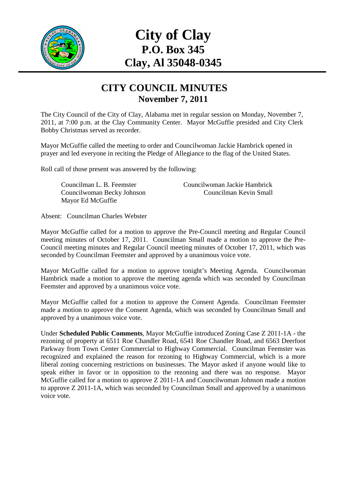

# **City of Clay P.O. Box 345 Clay, Al 35048-0345**

#### **CITY COUNCIL MINUTES November 7, 2011**

The City Council of the City of Clay, Alabama met in regular session on Monday, November 7, 2011, at 7:00 p.m. at the Clay Community Center. Mayor McGuffie presided and City Clerk Bobby Christmas served as recorder.

Mayor McGuffie called the meeting to order and Councilwoman Jackie Hambrick opened in prayer and led everyone in reciting the Pledge of Allegiance to the flag of the United States.

Roll call of those present was answered by the following:

Mayor Ed McGuffie

Councilman L. B. Feemster Councilwoman Jackie Hambrick Councilwoman Becky Johnson Councilman Kevin Small

Absent: Councilman Charles Webster

Mayor McGuffie called for a motion to approve the Pre-Council meeting and Regular Council meeting minutes of October 17, 2011. Councilman Small made a motion to approve the Pre-Council meeting minutes and Regular Council meeting minutes of October 17, 2011, which was seconded by Councilman Feemster and approved by a unanimous voice vote.

Mayor McGuffie called for a motion to approve tonight's Meeting Agenda. Councilwoman Hambrick made a motion to approve the meeting agenda which was seconded by Councilman Feemster and approved by a unanimous voice vote.

Mayor McGuffie called for a motion to approve the Consent Agenda. Councilman Feemster made a motion to approve the Consent Agenda, which was seconded by Councilman Small and approved by a unanimous voice vote.

Under **Scheduled Public Comments**, Mayor McGuffie introduced Zoning Case Z 2011-1A - the rezoning of property at 6511 Roe Chandler Road, 6541 Roe Chandler Road, and 6563 Deerfoot Parkway from Town Center Commercial to Highway Commercial. Councilman Feemster was recognized and explained the reason for rezoning to Highway Commercial, which is a more liberal zoning concerning restrictions on businesses. The Mayor asked if anyone would like to speak either in favor or in opposition to the rezoning and there was no response. Mayor McGuffie called for a motion to approve Z 2011-1A and Councilwoman Johnson made a motion to approve Z 2011-1A, which was seconded by Councilman Small and approved by a unanimous voice vote.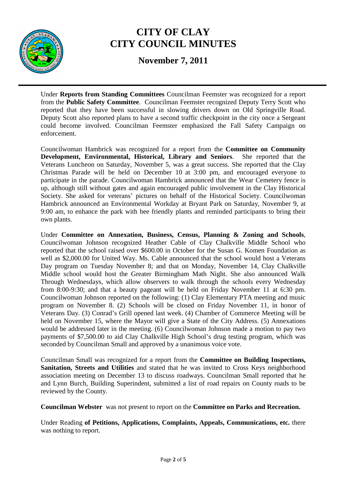

**November 7, 2011** 

Under **Reports from Standing Committees** Councilman Feemster was recognized for a report from the **Public Safety Committee**. Councilman Feemster recognized Deputy Terry Scott who reported that they have been successful in slowing drivers down on Old Springville Road. Deputy Scott also reported plans to have a second traffic checkpoint in the city once a Sergeant could become involved. Councilman Feemster emphasized the Fall Safety Campaign on enforcement.

Councilwoman Hambrick was recognized for a report from the **Committee on Community Development, Environmental, Historical, Library and Seniors**. She reported that the Veterans Luncheon on Saturday, November 5, was a great success. She reported that the Clay Christmas Parade will be held on December 10 at 3:00 pm, and encouraged everyone to participate in the parade. Councilwoman Hambrick announced that the Wear Cemetery fence is up, although still without gates and again encouraged public involvement in the Clay Historical Society. She asked for veterans' pictures on behalf of the Historical Society. Councilwoman Hambrick announced an Environmental Workday at Bryant Park on Saturday, November 9, at 9:00 am, to enhance the park with bee friendly plants and reminded participants to bring their own plants.

Under **Committee on Annexation, Business, Census, Planning & Zoning and Schools**, Councilwoman Johnson recognized Heather Cable of Clay Chalkville Middle School who reported that the school raised over \$600.00 in October for the Susan G. Komen Foundation as well as \$2,000,00 for United Way. Ms. Cable announced that the school would host a Veterans Day program on Tuesday November 8; and that on Monday, November 14, Clay Chalkville Middle school would host the Greater Birmingham Math Night. She also announced Walk Through Wednesdays, which allow observers to walk through the schools every Wednesday from 8:00-9:30; and that a beauty pageant will be held on Friday November 11 at 6:30 pm. Councilwoman Johnson reported on the following: (1) Clay Elementary PTA meeting and music program on November 8. (2) Schools will be closed on Friday November 11, in honor of Veterans Day. (3) Conrad's Grill opened last week. (4) Chamber of Commerce Meeting will be held on November 15, where the Mayor will give a State of the City Address. (5) Annexations would be addressed later in the meeting. (6) Councilwoman Johnson made a motion to pay two payments of \$7,500.00 to aid Clay Chalkville High School's drug testing program, which was seconded by Councilman Small and approved by a unanimous voice vote.

Councilman Small was recognized for a report from the **Committee on Building Inspections, Sanitation, Streets and Utilities** and stated that he was invited to Cross Keys neighborhood association meeting on December 13 to discuss roadways. Councilman Small reported that he and Lynn Burch, Building Superindent, submitted a list of road repairs on County roads to be reviewed by the County.

**Councilman Webster** was not present to report on the **Committee on Parks and Recreation.** 

Under Reading **of Petitions, Applications, Complaints, Appeals, Communications, etc.** there was nothing to report.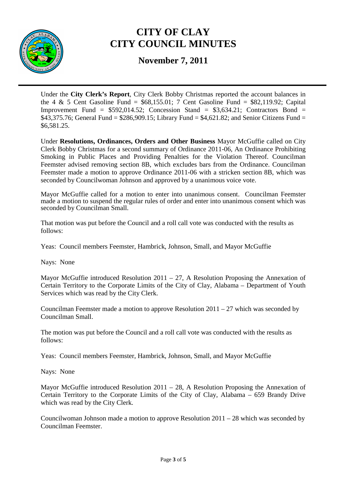

**November 7, 2011** 

Under the **City Clerk's Report**, City Clerk Bobby Christmas reported the account balances in the 4 & 5 Cent Gasoline Fund =  $$68,155.01$ ; 7 Cent Gasoline Fund =  $$82,119.92$ ; Capital Improvement Fund =  $$592,014.52$ ; Concession Stand =  $$3,634.21$ ; Contractors Bond = \$43,375.76; General Fund =  $$286,909.15$ ; Library Fund = \$4,621.82; and Senior Citizens Fund = \$6,581.25.

Under **Resolutions, Ordinances, Orders and Other Business** Mayor McGuffie called on City Clerk Bobby Christmas for a second summary of Ordinance 2011-06, An Ordinance Prohibiting Smoking in Public Places and Providing Penalties for the Violation Thereof. Councilman Feemster advised removing section 8B, which excludes bars from the Ordinance. Councilman Feemster made a motion to approve Ordinance 2011-06 with a stricken section 8B, which was seconded by Councilwoman Johnson and approved by a unanimous voice vote.

Mayor McGuffie called for a motion to enter into unanimous consent. Councilman Feemster made a motion to suspend the regular rules of order and enter into unanimous consent which was seconded by Councilman Small.

That motion was put before the Council and a roll call vote was conducted with the results as follows:

Yeas: Council members Feemster, Hambrick, Johnson, Small, and Mayor McGuffie

Nays: None

Mayor McGuffie introduced Resolution  $2011 - 27$ , A Resolution Proposing the Annexation of Certain Territory to the Corporate Limits of the City of Clay, Alabama – Department of Youth Services which was read by the City Clerk.

Councilman Feemster made a motion to approve Resolution  $2011 - 27$  which was seconded by Councilman Small.

The motion was put before the Council and a roll call vote was conducted with the results as follows:

Yeas: Council members Feemster, Hambrick, Johnson, Small, and Mayor McGuffie

Nays: None

Mayor McGuffie introduced Resolution 2011 – 28, A Resolution Proposing the Annexation of Certain Territory to the Corporate Limits of the City of Clay, Alabama – 659 Brandy Drive which was read by the City Clerk.

Councilwoman Johnson made a motion to approve Resolution 2011 – 28 which was seconded by Councilman Feemster.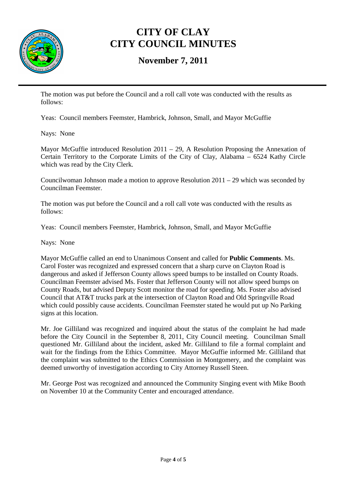

#### **November 7, 2011**

The motion was put before the Council and a roll call vote was conducted with the results as follows:

Yeas: Council members Feemster, Hambrick, Johnson, Small, and Mayor McGuffie

Nays: None

Mayor McGuffie introduced Resolution 2011 – 29, A Resolution Proposing the Annexation of Certain Territory to the Corporate Limits of the City of Clay, Alabama – 6524 Kathy Circle which was read by the City Clerk.

Councilwoman Johnson made a motion to approve Resolution 2011 – 29 which was seconded by Councilman Feemster.

The motion was put before the Council and a roll call vote was conducted with the results as follows:

Yeas: Council members Feemster, Hambrick, Johnson, Small, and Mayor McGuffie

Nays: None

Mayor McGuffie called an end to Unanimous Consent and called for **Public Comments**. Ms. Carol Foster was recognized and expressed concern that a sharp curve on Clayton Road is dangerous and asked if Jefferson County allows speed bumps to be installed on County Roads. Councilman Feemster advised Ms. Foster that Jefferson County will not allow speed bumps on County Roads, but advised Deputy Scott monitor the road for speeding. Ms. Foster also advised Council that AT&T trucks park at the intersection of Clayton Road and Old Springville Road which could possibly cause accidents. Councilman Feemster stated he would put up No Parking signs at this location.

Mr. Joe Gilliland was recognized and inquired about the status of the complaint he had made before the City Council in the September 8, 2011, City Council meeting. Councilman Small questioned Mr. Gilliland about the incident, asked Mr. Gilliland to file a formal complaint and wait for the findings from the Ethics Committee. Mayor McGuffie informed Mr. Gilliland that the complaint was submitted to the Ethics Commission in Montgomery, and the complaint was deemed unworthy of investigation according to City Attorney Russell Steen.

Mr. George Post was recognized and announced the Community Singing event with Mike Booth on November 10 at the Community Center and encouraged attendance.